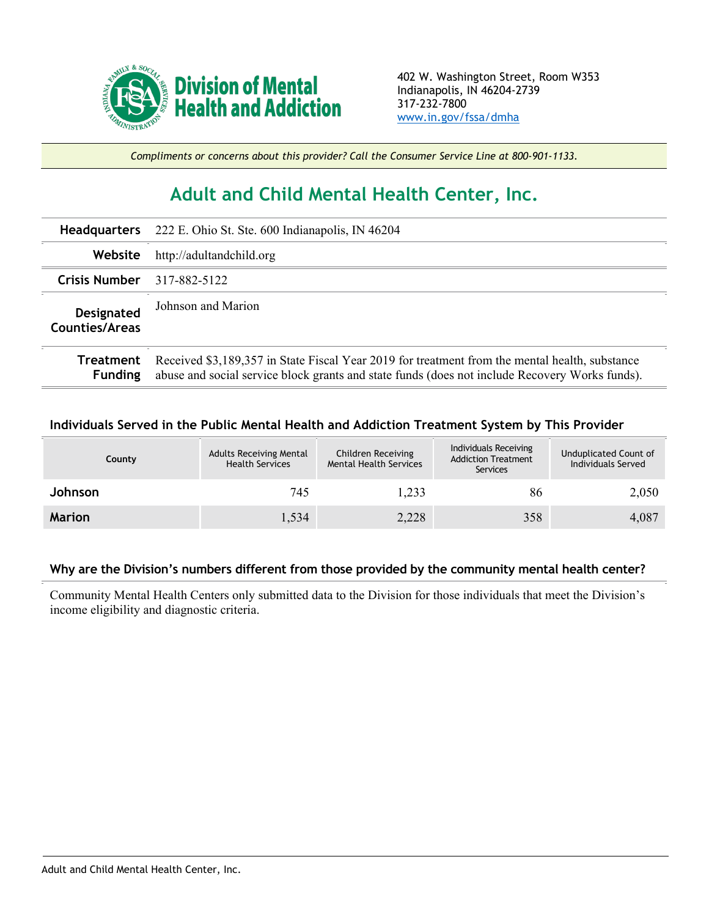

*Compliments or concerns about this provider? Call the Consumer Service Line at 800-901-1133.*

## **Adult and Child Mental Health Center, Inc.**

| <b>Headquarters</b>          | 222 E. Ohio St. Ste. 600 Indianapolis, IN 46204                                                                                                                                                  |  |  |  |
|------------------------------|--------------------------------------------------------------------------------------------------------------------------------------------------------------------------------------------------|--|--|--|
| Website                      | http://adultandchild.org                                                                                                                                                                         |  |  |  |
| <b>Crisis Number</b>         | 317-882-5122                                                                                                                                                                                     |  |  |  |
| Designated<br>Counties/Areas | Johnson and Marion                                                                                                                                                                               |  |  |  |
| Treatment<br><b>Funding</b>  | Received \$3,189,357 in State Fiscal Year 2019 for treatment from the mental health, substance<br>abuse and social service block grants and state funds (does not include Recovery Works funds). |  |  |  |

## **Individuals Served in the Public Mental Health and Addiction Treatment System by This Provider**

| County         | <b>Adults Receiving Mental</b><br><b>Health Services</b> | Children Receiving<br><b>Mental Health Services</b> | Individuals Receiving<br><b>Addiction Treatment</b><br>Services | Unduplicated Count of<br>Individuals Served |
|----------------|----------------------------------------------------------|-----------------------------------------------------|-----------------------------------------------------------------|---------------------------------------------|
| <b>Johnson</b> | 745                                                      | 1,233                                               | 86                                                              | 2,050                                       |
| <b>Marion</b>  | 1,534                                                    | 2,228                                               | 358                                                             | 4,087                                       |

## **Why are the Division's numbers different from those provided by the community mental health center?**

Community Mental Health Centers only submitted data to the Division for those individuals that meet the Division's income eligibility and diagnostic criteria.